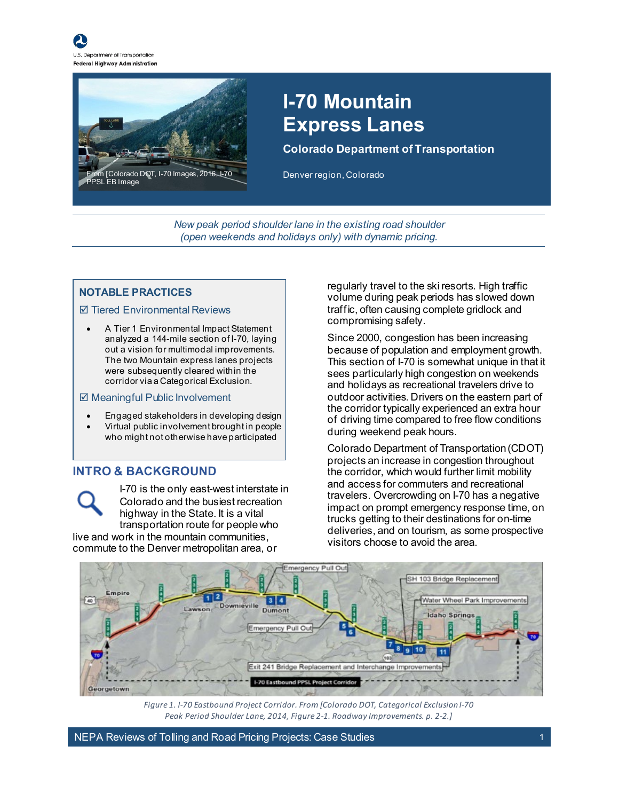



## **I-70 Mountain Express Lanes**

**Colorado Department of Transportation**

Denver region, Colorado

*New peak period shoulder lane in the existing road shoulder (open weekends and holidays only) with dynamic pricing.*

#### **NOTABLE PRACTICES**

#### $⊓$  **Tiered Environmental Reviews**

• A Tier 1 Environmental Impact Statement analyzed a 144-mile section of I-70, laying out a vision for multimodal improvements. The two Mountain express lanes projects were subsequently cleared within the corridor via a Categorical Exclusion.

#### $\boxtimes$  **Meaningful Public Involvement**

- Engaged stakeholders in developing design
- Virtual public involvement brought in people who might not otherwise have participated

#### **INTRO & BACKGROUND**

I-70 is the only east-west interstate in Colorado and the busiest recreation highway in the State. It is a vital transportation route for people who live and work in the mountain communities,

commute to the Denver metropolitan area, or

regularly travel to the ski resorts. High traffic volume during peak periods has slowed down traffic, often causing complete gridlock and compromising safety.

Since 2000, congestion has been increasing because of population and employment growth. This section of I-70 is somewhat unique in that it sees particularly high congestion on weekends and holidays as recreational travelers drive to outdoor activities. Drivers on the eastern part of the corridor typically experienced an extra hour of driving time compared to free flow conditions during weekend peak hours.

Colorado Department of Transportation (CDOT) projects an increase in congestion throughout the corridor, which would further limit mobility and access for commuters and recreational travelers. Overcrowding on I-70 has a negative impact on prompt emergency response time, on trucks getting to their destinations for on-time deliveries, and on tourism, as some prospective visitors choose to avoid the area.



<span id="page-0-0"></span>*Figure 1. I-70 Eastbound Project Corridor. From [Colorado DOT, Categorical Exclusion I-70 Peak Period Shoulder Lane, 2014, Figure 2-1. Roadway Improvements. p. 2-2.]*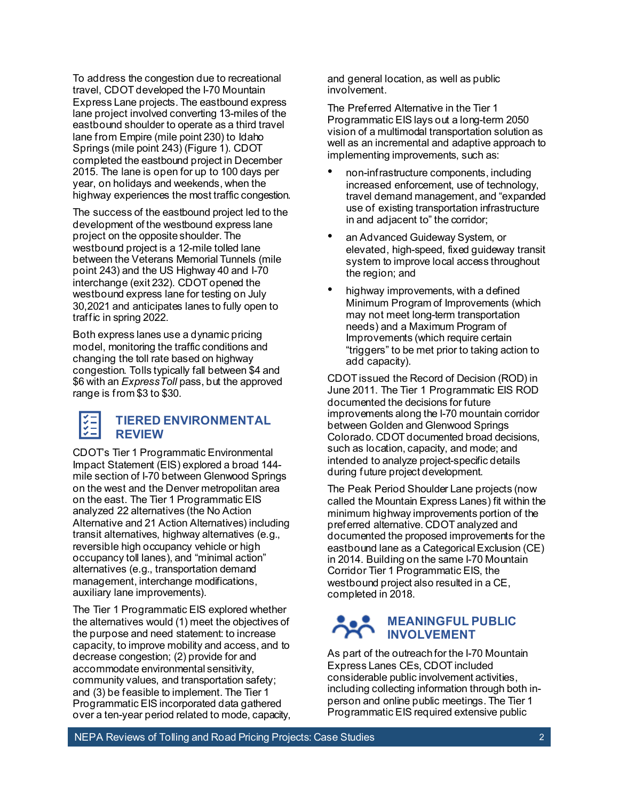To address the congestion due to recreational travel, CDOT developed the I-70 Mountain Express Lane projects. The eastbound express lane project involved converting 13-miles of the eastbound shoulder to operate as a third travel lane from Empire (mile point 230) to Idaho Springs (mile point 243) [\(Figure 1\)](#page-0-0). CDOT completed the eastbound project in December 2015. The lane is open for up to 100 days per year, on holidays and weekends, when the highway experiences the most traffic congestion.

The success of the eastbound project led to the development of the westbound express lane project on the opposite shoulder. The westbound project is a 12-mile tolled lane between the Veterans Memorial Tunnels (mile point 243) and the US Highway 40 and I-70 interchange (exit 232). CDOT opened the westbound express lane for testing on July 30,2021 and anticipates lanes to fully open to traffic in spring 2022.

Both express lanes use a dynamic pricing model, monitoring the traffic conditions and changing the toll rate based on highway congestion. Tolls typically fall between \$4 and \$6 with an *ExpressToll* pass, but the approved range is from \$3 to \$30.

#### **TIERED ENVIRONMENTAL REVIEW**

CDOT's Tier 1 Programmatic Environmental Impact Statement (EIS) explored a broad 144 mile section of I-70 between Glenwood Springs on the west and the Denver metropolitan area on the east. The Tier 1 Programmatic EIS analyzed 22 alternatives (the No Action Alternative and 21 Action Alternatives) including transit alternatives, highway alternatives (e.g., reversible high occupancy vehicle or high occupancy toll lanes), and "minimal action" alternatives (e.g., transportation demand management, interchange modifications, auxiliary lane improvements).

The Tier 1 Programmatic EIS explored whether the alternatives would (1) meet the objectives of the purpose and need statement: to increase capacity, to improve mobility and access, and to decrease congestion; (2) provide for and accommodate environmental sensitivity, community values, and transportation safety; and (3) be feasible to implement. The Tier 1 Programmatic EIS incorporated data gathered over a ten-year period related to mode, capacity,

and general location, as well as public involvement.

The Preferred Alternative in the Tier 1 Programmatic EIS lays out a long-term 2050 vision of a multimodal transportation solution as well as an incremental and adaptive approach to implementing improvements, such as:

- non-infrastructure components, including increased enforcement, use of technology, travel demand management, and "expanded use of existing transportation infrastructure in and adjacent to" the corridor;
- an Advanced Guideway System, or elevated, high-speed, fixed guideway transit system to improve local access throughout the region; and
- highway improvements, with a defined Minimum Program of Improvements (which may not meet long-term transportation needs) and a Maximum Program of Improvements (which require certain "triggers" to be met prior to taking action to add capacity).

CDOT issued the Record of Decision (ROD) in June 2011. The Tier 1 Programmatic EIS ROD documented the decisions for future improvements along the I-70 mountain corridor between Golden and Glenwood Springs Colorado. CDOT documented broad decisions, such as location, capacity, and mode; and intended to analyze project-specific details during future project development.

The Peak Period Shoulder Lane projects (now called the Mountain Express Lanes) fit within the minimum highway improvements portion of the preferred alternative. CDOT analyzed and documented the proposed improvements for the eastbound lane as a Categorical Exclusion (CE) in 2014. Building on the same I-70 Mountain Corridor Tier 1 Programmatic EIS, the westbound project also resulted in a CE, completed in 2018.

#### **MEANINGFUL PUBLIC INVOLVEMENT**

As part of the outreach for the I-70 Mountain Express Lanes CEs, CDOT included considerable public involvement activities, including collecting information through both inperson and online public meetings. The Tier 1 Programmatic EIS required extensive public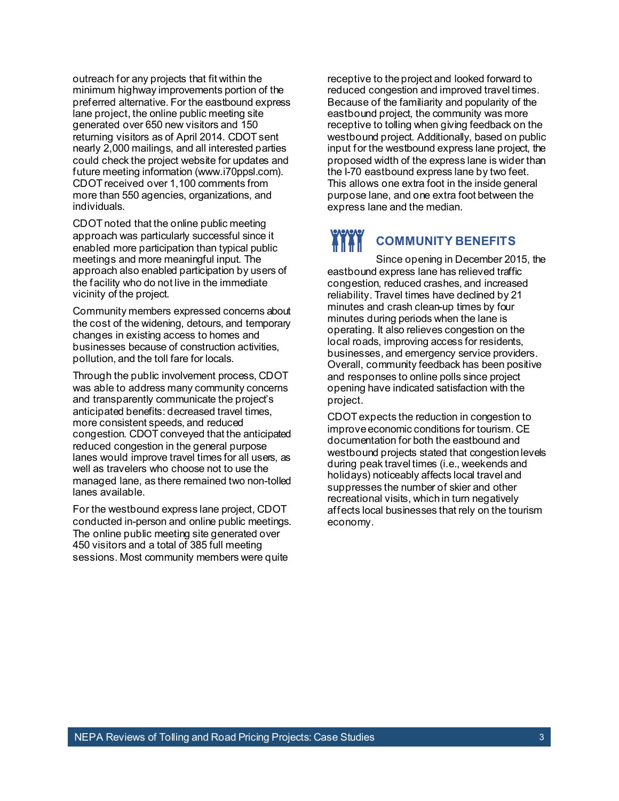outreach for any projects that fit within the minimum highway improvements portion of the preferred alternative. For the eastbound express lane project, the online public meeting site generated over 650 new visitors and 150 returning visitors as of April 2014. CDOT sent nearly 2,000 mailings, and all interested parties could check the project website for updates and future meeting information (www.i70ppsl.com). CDOT received over 1,100 comments from more than 550 agencies, organizations, and individuals.

CDOT noted that the online public meeting approach was particularly successful since it enabled more participation than typical public meetings and more meaningful input. The approach also enabled participation by users of the facility who do not live in the immediate vicinity of the project.

Community members expressed concerns about the cost of the widening, detours, and temporary changes in existing access to homes and businesses because of construction activities, pollution, and the toll fare for locals.

Through the public involvement process, CDOT was able to address many community concerns and transparently communicate the project's anticipated benefits: decreased travel times, more consistent speeds, and reduced congestion. CDOT conveyed that the anticipated reduced congestion in the general purpose lanes would improve travel times for all users, as well as travelers who choose not to use the managed lane, as there remained two non-tolled lanes available.

For the westbound express lane project, CDOT conducted in-person and online public meetings. The online public meeting site generated over 450 visitors and a total of 385 full meeting sessions. Most community members were quite

receptive to the project and looked forward to reduced congestion and improved travel times. Because of the familiarity and popularity of the eastbound project, the community was more receptive to tolling when giving feedback on the westbound project. Additionally, based on public input for the westbound express lane project, the proposed width of the express lane is wider than the I-70 eastbound express lane by two feet. This allows one extra foot in the inside general purpose lane, and one extra foot between the express lane and the median.

#### **THE THE COMMUNITY BENEFITS**

Since opening in December 2015, the eastbound express lane has relieved traffic congestion, reduced crashes, and increased reliability. Travel times have declined by 21 minutes and crash clean-up times by four minutes during periods when the lane is operating. It also relieves congestion on the local roads, improving access for residents, businesses, and emergency service providers. Overall, community feedback has been positive and responses to online polls since project opening have indicated satisfaction with the project.

CDOT expects the reduction in congestion to improve economic conditions for tourism. CE documentation for both the eastbound and westbound projects stated that congestion levels during peak travel times (i.e., weekends and holidays) noticeably affects local travel and suppresses the number of skier and other recreational visits, which in turn negatively affects local businesses that rely on the tourism economy.